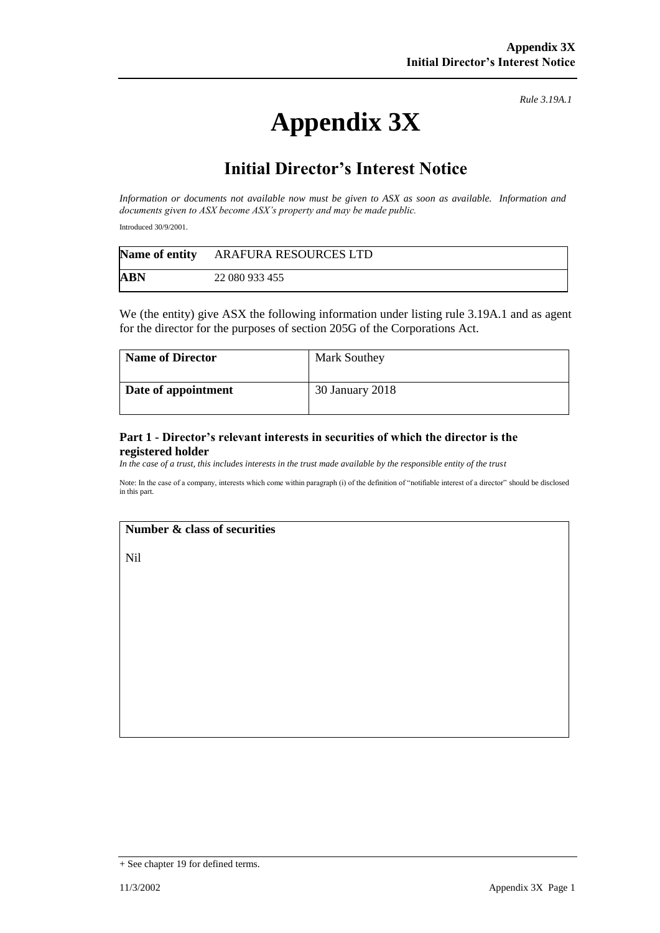# **Appendix 3X**

*Rule 3.19A.1*

# **Initial Director's Interest Notice**

*Information or documents not available now must be given to ASX as soon as available. Information and documents given to ASX become ASX's property and may be made public.*

Introduced 30/9/2001.

|     | Name of entity ARAFURA RESOURCES LTD |
|-----|--------------------------------------|
| ABN | 22 080 933 455                       |

We (the entity) give ASX the following information under listing rule 3.19A.1 and as agent for the director for the purposes of section 205G of the Corporations Act.

| <b>Name of Director</b> | <b>Mark Southey</b> |
|-------------------------|---------------------|
| Date of appointment     | 30 January 2018     |

#### **Part 1 - Director's relevant interests in securities of which the director is the registered holder**

*In the case of a trust, this includes interests in the trust made available by the responsible entity of the trust*

Note: In the case of a company, interests which come within paragraph (i) of the definition of "notifiable interest of a director" should be disclosed in this part.

## **Number & class of securities**

Nil

<sup>+</sup> See chapter 19 for defined terms.